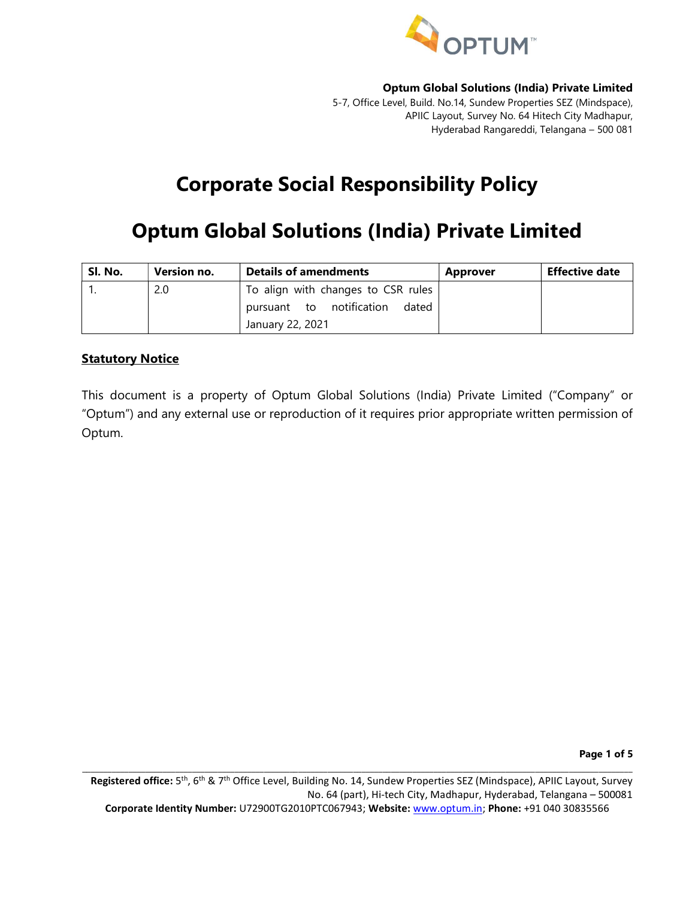

5-7, Office Level, Build. No.14, Sundew Properties SEZ (Mindspace), APIIC Layout, Survey No. 64 Hitech City Madhapur, Hyderabad Rangareddi, Telangana – 500 081

# Corporate Social Responsibility Policy

# Optum Global Solutions (India) Private Limited

| Sl. No. | Version no. | <b>Details of amendments</b>       | <b>Approver</b> | <b>Effective date</b> |
|---------|-------------|------------------------------------|-----------------|-----------------------|
|         | 2.0         | To align with changes to CSR rules |                 |                       |
|         |             | pursuant to notification<br>dated  |                 |                       |
|         |             | January 22, 2021                   |                 |                       |

# **Statutory Notice**

This document is a property of Optum Global Solutions (India) Private Limited ("Company" or "Optum") and any external use or reproduction of it requires prior appropriate written permission of Optum.

Page 1 of 5

Registered office: 5<sup>th</sup>, 6<sup>th</sup> & 7<sup>th</sup> Office Level, Building No. 14, Sundew Properties SEZ (Mindspace), APIIC Layout, Survey No. 64 (part), Hi-tech City, Madhapur, Hyderabad, Telangana – 500081 Corporate Identity Number: U72900TG2010PTC067943; Website: www.optum.in; Phone: +91 040 30835566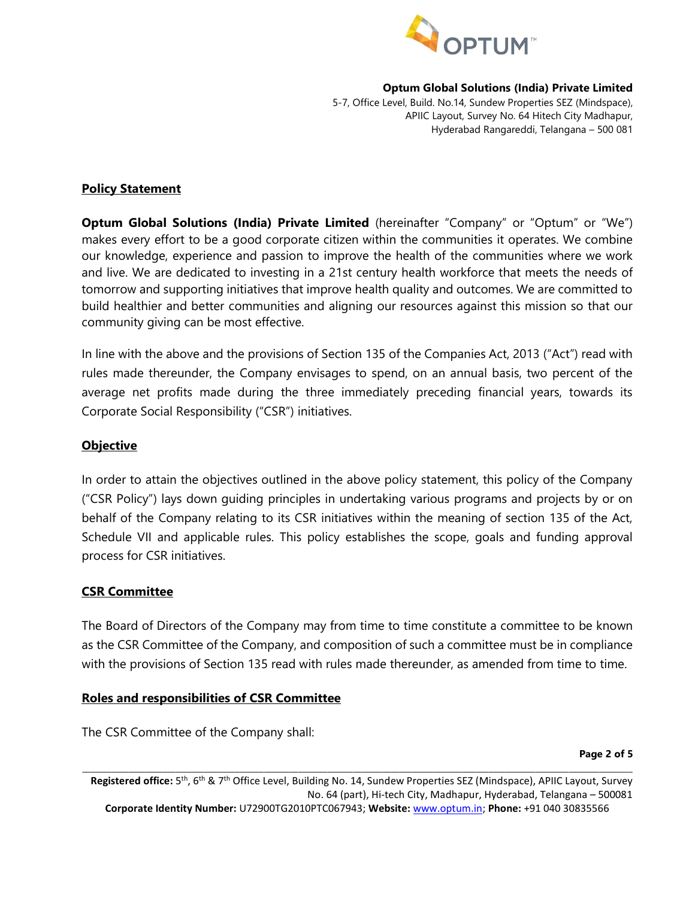

5-7, Office Level, Build. No.14, Sundew Properties SEZ (Mindspace), APIIC Layout, Survey No. 64 Hitech City Madhapur, Hyderabad Rangareddi, Telangana – 500 081

#### Policy Statement

**Optum Global Solutions (India) Private Limited** (hereinafter "Company" or "Optum" or "We") makes every effort to be a good corporate citizen within the communities it operates. We combine our knowledge, experience and passion to improve the health of the communities where we work and live. We are dedicated to investing in a 21st century health workforce that meets the needs of tomorrow and supporting initiatives that improve health quality and outcomes. We are committed to build healthier and better communities and aligning our resources against this mission so that our community giving can be most effective.

In line with the above and the provisions of Section 135 of the Companies Act, 2013 ("Act") read with rules made thereunder, the Company envisages to spend, on an annual basis, two percent of the average net profits made during the three immediately preceding financial years, towards its Corporate Social Responsibility ("CSR") initiatives.

#### **Objective**

In order to attain the objectives outlined in the above policy statement, this policy of the Company ("CSR Policy") lays down guiding principles in undertaking various programs and projects by or on behalf of the Company relating to its CSR initiatives within the meaning of section 135 of the Act, Schedule VII and applicable rules. This policy establishes the scope, goals and funding approval process for CSR initiatives.

## CSR Committee

The Board of Directors of the Company may from time to time constitute a committee to be known as the CSR Committee of the Company, and composition of such a committee must be in compliance with the provisions of Section 135 read with rules made thereunder, as amended from time to time.

## Roles and responsibilities of CSR Committee

The CSR Committee of the Company shall:

Page 2 of 5

Registered office: 5<sup>th</sup>, 6<sup>th</sup> & 7<sup>th</sup> Office Level, Building No. 14, Sundew Properties SEZ (Mindspace), APIIC Layout, Survey No. 64 (part), Hi-tech City, Madhapur, Hyderabad, Telangana – 500081 Corporate Identity Number: U72900TG2010PTC067943; Website: www.optum.in; Phone: +91 040 30835566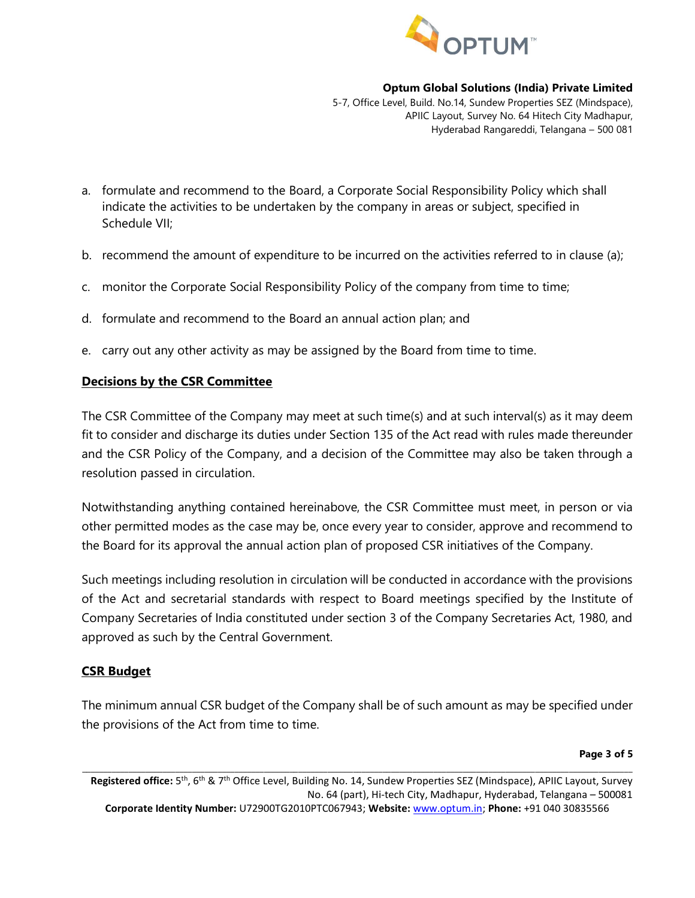

5-7, Office Level, Build. No.14, Sundew Properties SEZ (Mindspace), APIIC Layout, Survey No. 64 Hitech City Madhapur, Hyderabad Rangareddi, Telangana – 500 081

- a. formulate and recommend to the Board, a Corporate Social Responsibility Policy which shall indicate the activities to be undertaken by the company in areas or subject, specified in Schedule VII;
- b. recommend the amount of expenditure to be incurred on the activities referred to in clause (a);
- c. monitor the Corporate Social Responsibility Policy of the company from time to time;
- d. formulate and recommend to the Board an annual action plan; and
- e. carry out any other activity as may be assigned by the Board from time to time.

## Decisions by the CSR Committee

The CSR Committee of the Company may meet at such time(s) and at such interval(s) as it may deem fit to consider and discharge its duties under Section 135 of the Act read with rules made thereunder and the CSR Policy of the Company, and a decision of the Committee may also be taken through a resolution passed in circulation.

Notwithstanding anything contained hereinabove, the CSR Committee must meet, in person or via other permitted modes as the case may be, once every year to consider, approve and recommend to the Board for its approval the annual action plan of proposed CSR initiatives of the Company.

Such meetings including resolution in circulation will be conducted in accordance with the provisions of the Act and secretarial standards with respect to Board meetings specified by the Institute of Company Secretaries of India constituted under section 3 of the Company Secretaries Act, 1980, and approved as such by the Central Government.

## CSR Budget

The minimum annual CSR budget of the Company shall be of such amount as may be specified under the provisions of the Act from time to time.

#### Page 3 of 5

Registered office: 5<sup>th</sup>, 6<sup>th</sup> & 7<sup>th</sup> Office Level, Building No. 14, Sundew Properties SEZ (Mindspace), APIIC Layout, Survey No. 64 (part), Hi-tech City, Madhapur, Hyderabad, Telangana – 500081 Corporate Identity Number: U72900TG2010PTC067943; Website: www.optum.in; Phone: +91 040 30835566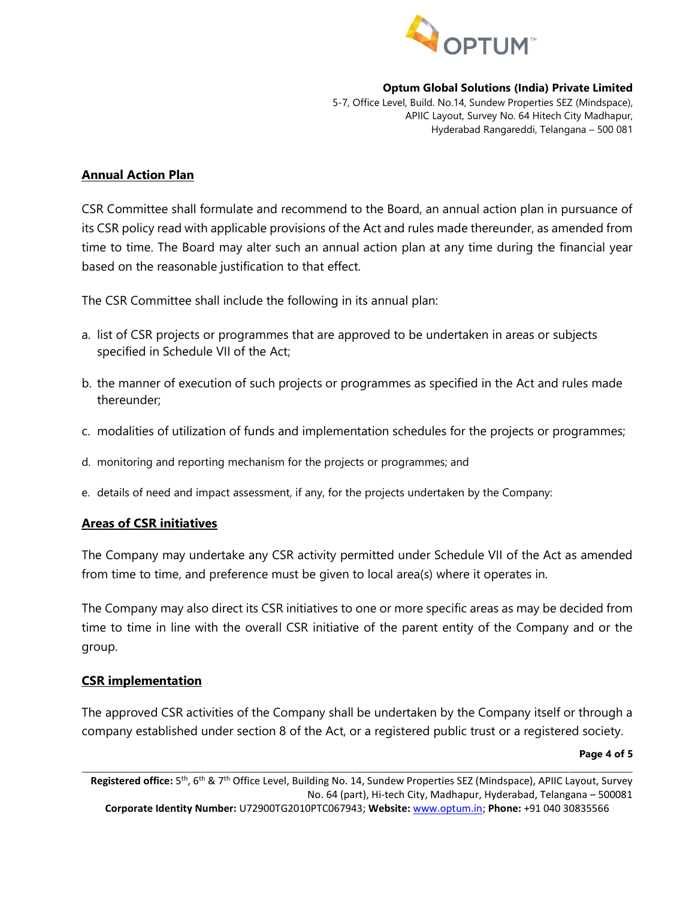

5-7, Office Level, Build. No.14, Sundew Properties SEZ (Mindspace), APIIC Layout, Survey No. 64 Hitech City Madhapur, Hyderabad Rangareddi, Telangana – 500 081

#### Annual Action Plan

CSR Committee shall formulate and recommend to the Board, an annual action plan in pursuance of its CSR policy read with applicable provisions of the Act and rules made thereunder, as amended from time to time. The Board may alter such an annual action plan at any time during the financial year based on the reasonable justification to that effect.

The CSR Committee shall include the following in its annual plan:

- a. list of CSR projects or programmes that are approved to be undertaken in areas or subjects specified in Schedule VII of the Act;
- b. the manner of execution of such projects or programmes as specified in the Act and rules made thereunder;
- c. modalities of utilization of funds and implementation schedules for the projects or programmes;
- d. monitoring and reporting mechanism for the projects or programmes; and
- e. details of need and impact assessment, if any, for the projects undertaken by the Company:

## Areas of CSR initiatives

The Company may undertake any CSR activity permitted under Schedule VII of the Act as amended from time to time, and preference must be given to local area(s) where it operates in.

The Company may also direct its CSR initiatives to one or more specific areas as may be decided from time to time in line with the overall CSR initiative of the parent entity of the Company and or the group.

## CSR implementation

The approved CSR activities of the Company shall be undertaken by the Company itself or through a company established under section 8 of the Act, or a registered public trust or a registered society.

#### Page 4 of 5

Registered office: 5<sup>th</sup>, 6<sup>th</sup> & 7<sup>th</sup> Office Level, Building No. 14, Sundew Properties SEZ (Mindspace), APIIC Layout, Survey No. 64 (part), Hi-tech City, Madhapur, Hyderabad, Telangana – 500081 Corporate Identity Number: U72900TG2010PTC067943; Website: www.optum.in; Phone: +91 040 30835566